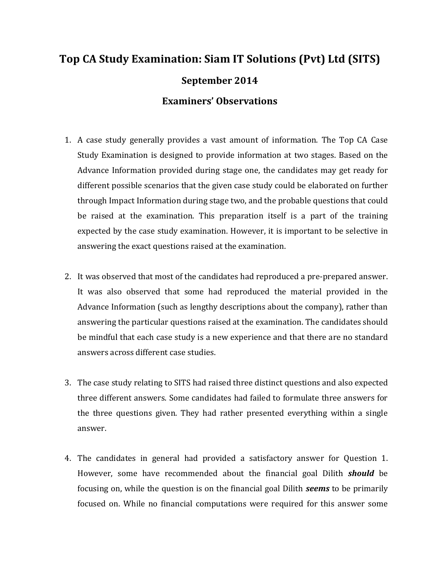## **Top CA Study Examination: Siam IT Solutions (Pvt) Ltd (SITS) September 2014 Examiners' Observations**

- 1. A case study generally provides a vast amount of information. The Top CA Case Study Examination is designed to provide information at two stages. Based on the Advance Information provided during stage one, the candidates may get ready for different possible scenarios that the given case study could be elaborated on further through Impact Information during stage two, and the probable questions that could be raised at the examination. This preparation itself is a part of the training expected by the case study examination. However, it is important to be selective in answering the exact questions raised at the examination.
- 2. It was observed that most of the candidates had reproduced a pre-prepared answer. It was also observed that some had reproduced the material provided in the Advance Information (such as lengthy descriptions about the company), rather than answering the particular questions raised at the examination. The candidates should be mindful that each case study is a new experience and that there are no standard answers across different case studies.
- 3. The case study relating to SITS had raised three distinct questions and also expected three different answers. Some candidates had failed to formulate three answers for the three questions given. They had rather presented everything within a single answer.
- 4. The candidates in general had provided a satisfactory answer for Question 1. However, some have recommended about the financial goal Dilith *should* be focusing on, while the question is on the financial goal Dilith *seems* to be primarily focused on. While no financial computations were required for this answer some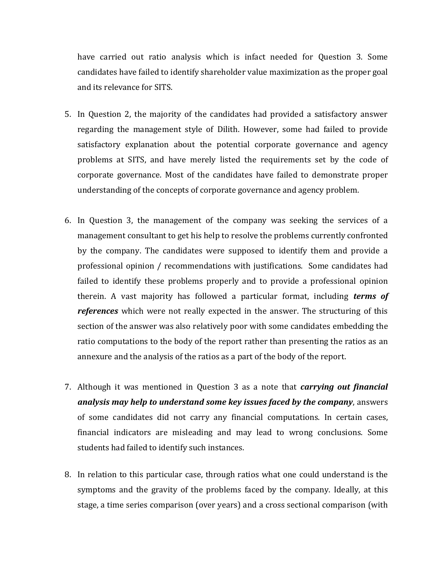have carried out ratio analysis which is infact needed for Question 3. Some candidates have failed to identify shareholder value maximization as the proper goal and its relevance for SITS.

- 5. In Question 2, the majority of the candidates had provided a satisfactory answer regarding the management style of Dilith. However, some had failed to provide satisfactory explanation about the potential corporate governance and agency problems at SITS, and have merely listed the requirements set by the code of corporate governance. Most of the candidates have failed to demonstrate proper understanding of the concepts of corporate governance and agency problem.
- 6. In Question 3, the management of the company was seeking the services of a management consultant to get his help to resolve the problems currently confronted by the company. The candidates were supposed to identify them and provide a professional opinion / recommendations with justifications. Some candidates had failed to identify these problems properly and to provide a professional opinion therein. A vast majority has followed a particular format, including *terms of references* which were not really expected in the answer. The structuring of this section of the answer was also relatively poor with some candidates embedding the ratio computations to the body of the report rather than presenting the ratios as an annexure and the analysis of the ratios as a part of the body of the report.
- 7. Although it was mentioned in Question 3 as a note that *carrying out financial analysis may help to understand some key issues faced by the company*, answers of some candidates did not carry any financial computations. In certain cases, financial indicators are misleading and may lead to wrong conclusions. Some students had failed to identify such instances.
- 8. In relation to this particular case, through ratios what one could understand is the symptoms and the gravity of the problems faced by the company. Ideally, at this stage, a time series comparison (over years) and a cross sectional comparison (with